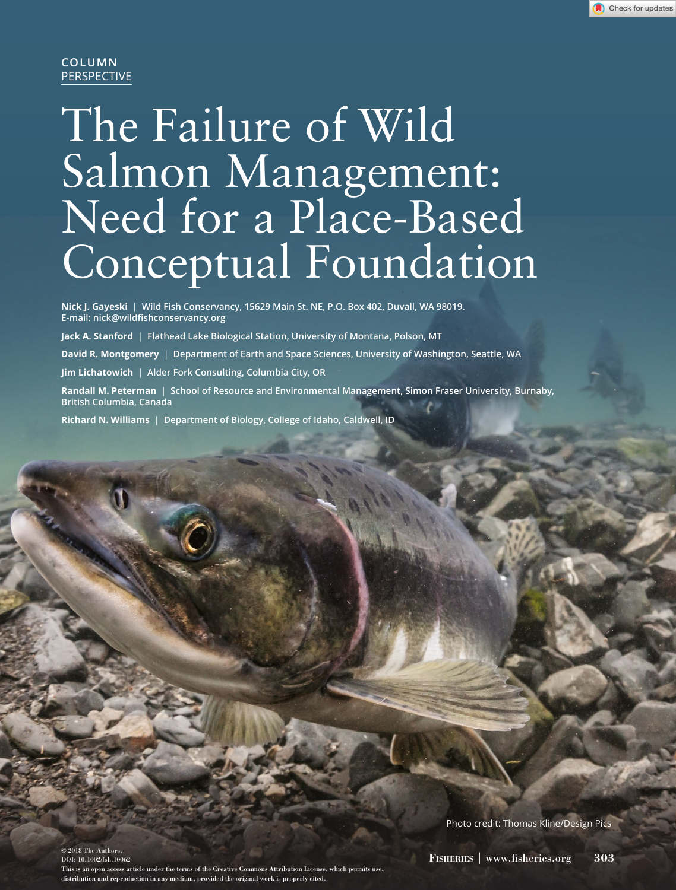# **COLUMN** PERSPECTIVE

# The Failure of Wild Salmon Management: Need for a Place-Based Conceptual Foundation

**Nick J. Gayeski** | **Wild Fish Conservancy, 15629 Main St. NE, P.O. Box 402, Duvall, WA 98019. E-mail: nick@wildfishconservancy.org**

**Jack A. Stanford** | **Flathead Lake Biological Station, University of Montana, Polson, MT**

**David R. Montgomery** | **Department of Earth and Space Sciences, University of Washington, Seattle, WA**

**Jim Lichatowich** | **Alder Fork Consulting, Columbia City, OR**

**Randall M. Peterman** | **School of Resource and Environmental Management, Simon Fraser University, Burnaby, British Columbia, Canada**

**Richard N. Williams** | **Department of Biology, College of Idaho, Caldwell, ID**

© 2018 The Authors.<br>DOI: 10.1002/fsh.10062 This is an open access article under the terms of the [Creative Commons Attribution](http://creativecommons.org/licenses/by/4.0/) License, which permits use, distribution and reproduction in any medium, provided the original work is properly cited.

Photo credit: Thomas Kline/Design Pics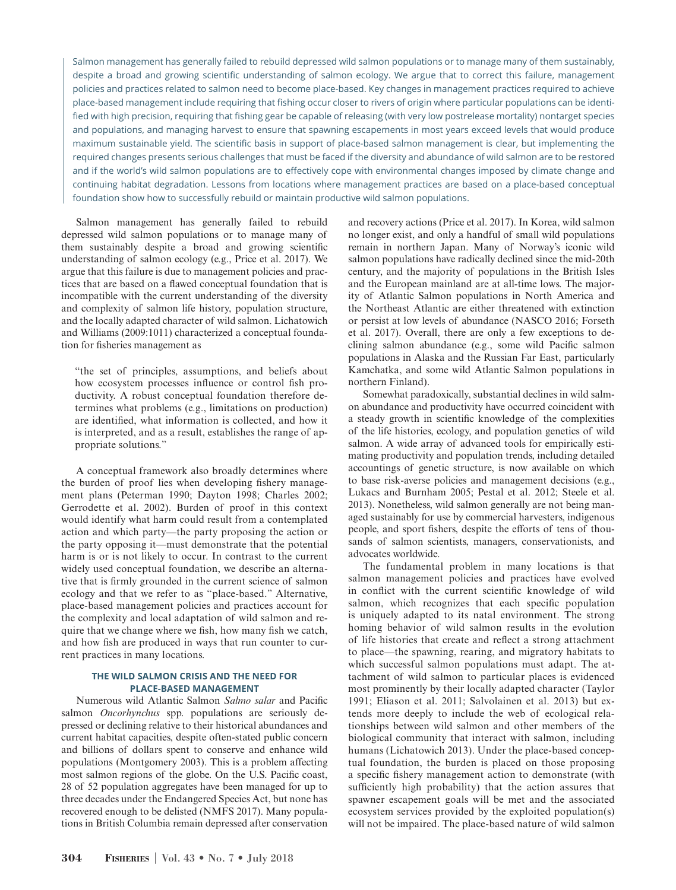Salmon management has generally failed to rebuild depressed wild salmon populations or to manage many of them sustainably, despite a broad and growing scientific understanding of salmon ecology. We argue that to correct this failure, management policies and practices related to salmon need to become place-based. Key changes in management practices required to achieve place-based management include requiring that fishing occur closer to rivers of origin where particular populations can be identified with high precision, requiring that fishing gear be capable of releasing (with very low postrelease mortality) nontarget species and populations, and managing harvest to ensure that spawning escapements in most years exceed levels that would produce maximum sustainable yield. The scientific basis in support of place-based salmon management is clear, but implementing the required changes presents serious challenges that must be faced if the diversity and abundance of wild salmon are to be restored and if the world's wild salmon populations are to effectively cope with environmental changes imposed by climate change and continuing habitat degradation. Lessons from locations where management practices are based on a place-based conceptual foundation show how to successfully rebuild or maintain productive wild salmon populations.

Salmon management has generally failed to rebuild depressed wild salmon populations or to manage many of them sustainably despite a broad and growing scientific understanding of salmon ecology (e.g., Price et al. 2017). We argue that this failure is due to management policies and practices that are based on a flawed conceptual foundation that is incompatible with the current understanding of the diversity and complexity of salmon life history, population structure, and the locally adapted character of wild salmon. Lichatowich and Williams (2009:1011) characterized a conceptual foundation for fisheries management as

"the set of principles, assumptions, and beliefs about how ecosystem processes influence or control fish productivity. A robust conceptual foundation therefore determines what problems (e.g., limitations on production) are identified, what information is collected, and how it is interpreted, and as a result, establishes the range of appropriate solutions."

A conceptual framework also broadly determines where the burden of proof lies when developing fishery management plans (Peterman 1990; Dayton 1998; Charles 2002; Gerrodette et al. 2002). Burden of proof in this context would identify what harm could result from a contemplated action and which party—the party proposing the action or the party opposing it—must demonstrate that the potential harm is or is not likely to occur. In contrast to the current widely used conceptual foundation, we describe an alternative that is firmly grounded in the current science of salmon ecology and that we refer to as "place-based." Alternative, place-based management policies and practices account for the complexity and local adaptation of wild salmon and require that we change where we fish, how many fish we catch, and how fish are produced in ways that run counter to current practices in many locations.

### **THE WILD SALMON CRISIS AND THE NEED FOR PLACE-BASED MANAGEMENT**

Numerous wild Atlantic Salmon *Salmo salar* and Pacific salmon *Oncorhynchus* spp. populations are seriously depressed or declining relative to their historical abundances and current habitat capacities, despite often-stated public concern and billions of dollars spent to conserve and enhance wild populations (Montgomery 2003). This is a problem affecting most salmon regions of the globe. On the U.S. Pacific coast, 28 of 52 population aggregates have been managed for up to three decades under the Endangered Species Act, but none has recovered enough to be delisted (NMFS 2017). Many populations in British Columbia remain depressed after conservation

and recovery actions (Price et al. 2017). In Korea, wild salmon no longer exist, and only a handful of small wild populations remain in northern Japan. Many of Norway's iconic wild salmon populations have radically declined since the mid-20th century, and the majority of populations in the British Isles and the European mainland are at all-time lows. The majority of Atlantic Salmon populations in North America and the Northeast Atlantic are either threatened with extinction or persist at low levels of abundance (NASCO 2016; Forseth et al. 2017). Overall, there are only a few exceptions to declining salmon abundance (e.g., some wild Pacific salmon populations in Alaska and the Russian Far East, particularly Kamchatka, and some wild Atlantic Salmon populations in northern Finland).

Somewhat paradoxically, substantial declines in wild salmon abundance and productivity have occurred coincident with a steady growth in scientific knowledge of the complexities of the life histories, ecology, and population genetics of wild salmon. A wide array of advanced tools for empirically estimating productivity and population trends, including detailed accountings of genetic structure, is now available on which to base risk-averse policies and management decisions (e.g., Lukacs and Burnham 2005; Pestal et al. 2012; Steele et al. 2013). Nonetheless, wild salmon generally are not being managed sustainably for use by commercial harvesters, indigenous people, and sport fishers, despite the efforts of tens of thousands of salmon scientists, managers, conservationists, and advocates worldwide.

The fundamental problem in many locations is that salmon management policies and practices have evolved in conflict with the current scientific knowledge of wild salmon, which recognizes that each specific population is uniquely adapted to its natal environment. The strong homing behavior of wild salmon results in the evolution of life histories that create and reflect a strong attachment to place—the spawning, rearing, and migratory habitats to which successful salmon populations must adapt. The attachment of wild salmon to particular places is evidenced most prominently by their locally adapted character (Taylor 1991; Eliason et al. 2011; Salvolainen et al. 2013) but extends more deeply to include the web of ecological relationships between wild salmon and other members of the biological community that interact with salmon, including humans (Lichatowich 2013). Under the place-based conceptual foundation, the burden is placed on those proposing a specific fishery management action to demonstrate (with sufficiently high probability) that the action assures that spawner escapement goals will be met and the associated ecosystem services provided by the exploited population(s) will not be impaired. The place-based nature of wild salmon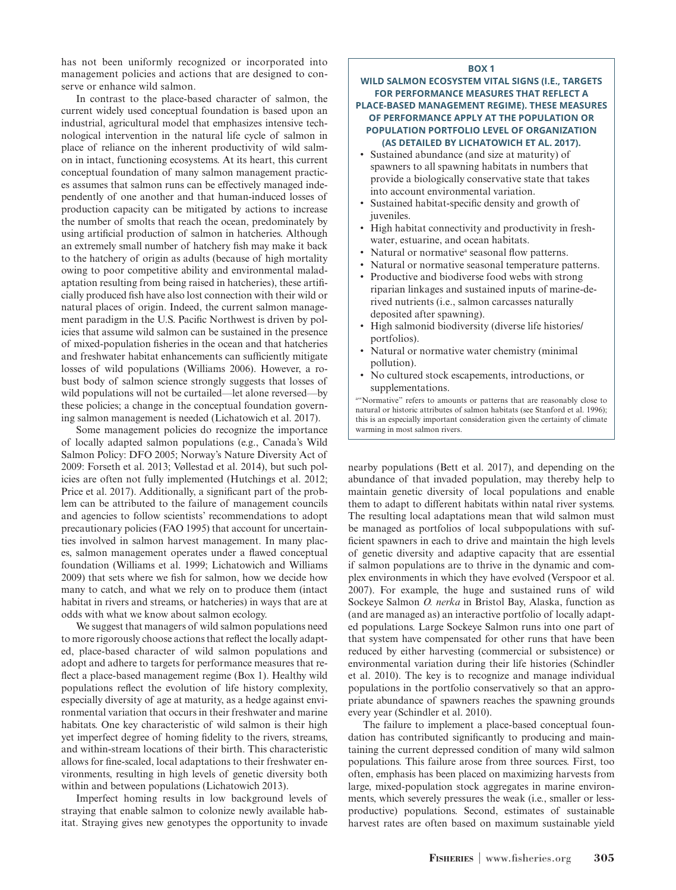has not been uniformly recognized or incorporated into management policies and actions that are designed to conserve or enhance wild salmon.

In contrast to the place-based character of salmon, the current widely used conceptual foundation is based upon an industrial, agricultural model that emphasizes intensive technological intervention in the natural life cycle of salmon in place of reliance on the inherent productivity of wild salmon in intact, functioning ecosystems. At its heart, this current conceptual foundation of many salmon management practices assumes that salmon runs can be effectively managed independently of one another and that human-induced losses of production capacity can be mitigated by actions to increase the number of smolts that reach the ocean, predominately by using artificial production of salmon in hatcheries. Although an extremely small number of hatchery fish may make it back to the hatchery of origin as adults (because of high mortality owing to poor competitive ability and environmental maladaptation resulting from being raised in hatcheries), these artificially produced fish have also lost connection with their wild or natural places of origin. Indeed, the current salmon management paradigm in the U.S. Pacific Northwest is driven by policies that assume wild salmon can be sustained in the presence of mixed-population fisheries in the ocean and that hatcheries and freshwater habitat enhancements can sufficiently mitigate losses of wild populations (Williams 2006). However, a robust body of salmon science strongly suggests that losses of wild populations will not be curtailed—let alone reversed—by these policies; a change in the conceptual foundation governing salmon management is needed (Lichatowich et al. 2017).

Some management policies do recognize the importance of locally adapted salmon populations (e.g., Canada's Wild Salmon Policy: DFO 2005; Norway's Nature Diversity Act of 2009: Forseth et al. 2013; Vøllestad et al. 2014), but such policies are often not fully implemented (Hutchings et al. 2012; Price et al. 2017). Additionally, a significant part of the problem can be attributed to the failure of management councils and agencies to follow scientists' recommendations to adopt precautionary policies (FAO 1995) that account for uncertainties involved in salmon harvest management. In many places, salmon management operates under a flawed conceptual foundation (Williams et al. 1999; Lichatowich and Williams 2009) that sets where we fish for salmon, how we decide how many to catch, and what we rely on to produce them (intact habitat in rivers and streams, or hatcheries) in ways that are at odds with what we know about salmon ecology.

We suggest that managers of wild salmon populations need to more rigorously choose actions that reflect the locally adapted, place-based character of wild salmon populations and adopt and adhere to targets for performance measures that reflect a place-based management regime (Box 1). Healthy wild populations reflect the evolution of life history complexity, especially diversity of age at maturity, as a hedge against environmental variation that occurs in their freshwater and marine habitats. One key characteristic of wild salmon is their high yet imperfect degree of homing fidelity to the rivers, streams, and within-stream locations of their birth. This characteristic allows for fine-scaled, local adaptations to their freshwater environments, resulting in high levels of genetic diversity both within and between populations (Lichatowich 2013).

Imperfect homing results in low background levels of straying that enable salmon to colonize newly available habitat. Straying gives new genotypes the opportunity to invade

#### **BOX 1**

**WILD SALMON ECOSYSTEM VITAL SIGNS (I.E., TARGETS FOR PERFORMANCE MEASURES THAT REFLECT A PLACE-BASED MANAGEMENT REGIME). THESE MEASURES OF PERFORMANCE APPLY AT THE POPULATION OR POPULATION PORTFOLIO LEVEL OF ORGANIZATION (AS DETAILED BY LICHATOWICH ET AL. 2017).**

- Sustained abundance (and size at maturity) of spawners to all spawning habitats in numbers that provide a biologically conservative state that takes into account environmental variation.
- Sustained habitat-specific density and growth of juveniles.
- High habitat connectivity and productivity in freshwater, estuarine, and ocean habitats.
- Natural or normative<sup>a</sup> seasonal flow patterns.
- Natural or normative seasonal temperature patterns.
- Productive and biodiverse food webs with strong riparian linkages and sustained inputs of marine-derived nutrients (i.e., salmon carcasses naturally deposited after spawning).
- High salmonid biodiversity (diverse life histories/ portfolios).
- Natural or normative water chemistry (minimal pollution).
- No cultured stock escapements, introductions, or supplementations.

a"Normative" refers to amounts or patterns that are reasonably close to natural or historic attributes of salmon habitats (see Stanford et al. 1996); this is an especially important consideration given the certainty of climate warming in most salmon rivers.

nearby populations (Bett et al. 2017), and depending on the abundance of that invaded population, may thereby help to maintain genetic diversity of local populations and enable them to adapt to different habitats within natal river systems. The resulting local adaptations mean that wild salmon must be managed as portfolios of local subpopulations with sufficient spawners in each to drive and maintain the high levels of genetic diversity and adaptive capacity that are essential if salmon populations are to thrive in the dynamic and complex environments in which they have evolved (Verspoor et al. 2007). For example, the huge and sustained runs of wild Sockeye Salmon *O. nerka* in Bristol Bay, Alaska, function as (and are managed as) an interactive portfolio of locally adapted populations. Large Sockeye Salmon runs into one part of that system have compensated for other runs that have been reduced by either harvesting (commercial or subsistence) or environmental variation during their life histories (Schindler et al. 2010). The key is to recognize and manage individual populations in the portfolio conservatively so that an appropriate abundance of spawners reaches the spawning grounds every year (Schindler et al. 2010).

The failure to implement a place-based conceptual foundation has contributed significantly to producing and maintaining the current depressed condition of many wild salmon populations. This failure arose from three sources. First, too often, emphasis has been placed on maximizing harvests from large, mixed-population stock aggregates in marine environments, which severely pressures the weak (i.e., smaller or lessproductive) populations. Second, estimates of sustainable harvest rates are often based on maximum sustainable yield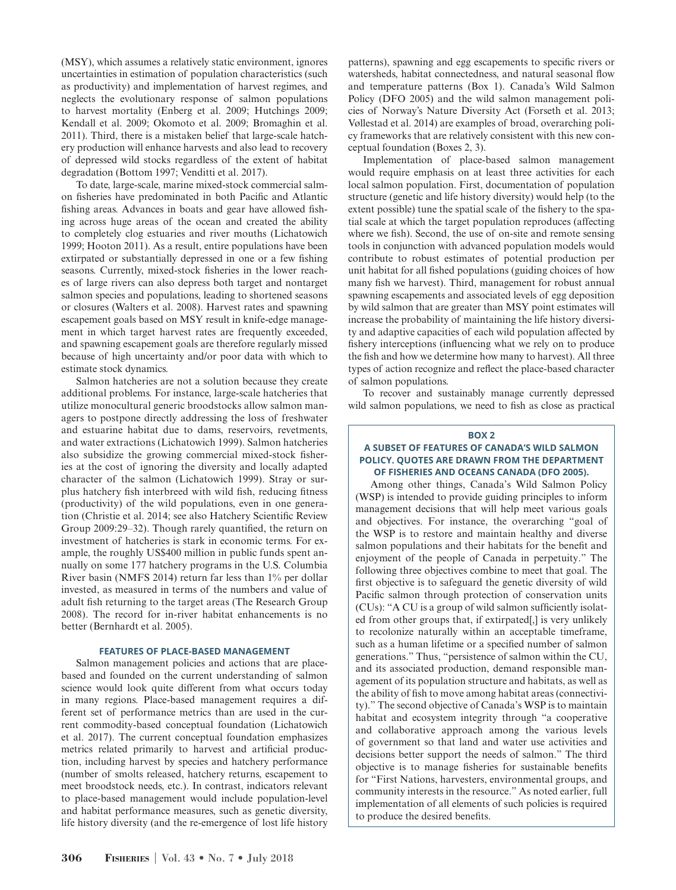(MSY), which assumes a relatively static environment, ignores uncertainties in estimation of population characteristics (such as productivity) and implementation of harvest regimes, and neglects the evolutionary response of salmon populations to harvest mortality (Enberg et al. 2009; Hutchings 2009; Kendall et al. 2009; Okomoto et al. 2009; Bromaghin et al. 2011). Third, there is a mistaken belief that large-scale hatchery production will enhance harvests and also lead to recovery of depressed wild stocks regardless of the extent of habitat degradation (Bottom 1997; Venditti et al. 2017).

To date, large-scale, marine mixed-stock commercial salmon fisheries have predominated in both Pacific and Atlantic fishing areas. Advances in boats and gear have allowed fishing across huge areas of the ocean and created the ability to completely clog estuaries and river mouths (Lichatowich 1999; Hooton 2011). As a result, entire populations have been extirpated or substantially depressed in one or a few fishing seasons. Currently, mixed-stock fisheries in the lower reaches of large rivers can also depress both target and nontarget salmon species and populations, leading to shortened seasons or closures (Walters et al. 2008). Harvest rates and spawning escapement goals based on MSY result in knife-edge management in which target harvest rates are frequently exceeded, and spawning escapement goals are therefore regularly missed because of high uncertainty and/or poor data with which to estimate stock dynamics.

Salmon hatcheries are not a solution because they create additional problems. For instance, large-scale hatcheries that utilize monocultural generic broodstocks allow salmon managers to postpone directly addressing the loss of freshwater and estuarine habitat due to dams, reservoirs, revetments, and water extractions (Lichatowich 1999). Salmon hatcheries also subsidize the growing commercial mixed-stock fisheries at the cost of ignoring the diversity and locally adapted character of the salmon (Lichatowich 1999). Stray or surplus hatchery fish interbreed with wild fish, reducing fitness (productivity) of the wild populations, even in one generation (Christie et al. 2014; see also Hatchery Scientific Review Group 2009:29–32). Though rarely quantified, the return on investment of hatcheries is stark in economic terms. For example, the roughly US\$400 million in public funds spent annually on some 177 hatchery programs in the U.S. Columbia River basin (NMFS 2014) return far less than 1% per dollar invested, as measured in terms of the numbers and value of adult fish returning to the target areas (The Research Group 2008). The record for in-river habitat enhancements is no better (Bernhardt et al. 2005).

#### **FEATURES OF PLACE-BASED MANAGEMENT**

Salmon management policies and actions that are placebased and founded on the current understanding of salmon science would look quite different from what occurs today in many regions. Place-based management requires a different set of performance metrics than are used in the current commodity-based conceptual foundation (Lichatowich et al. 2017). The current conceptual foundation emphasizes metrics related primarily to harvest and artificial production, including harvest by species and hatchery performance (number of smolts released, hatchery returns, escapement to meet broodstock needs, etc.). In contrast, indicators relevant to place-based management would include population-level and habitat performance measures, such as genetic diversity, life history diversity (and the re-emergence of lost life history

patterns), spawning and egg escapements to specific rivers or watersheds, habitat connectedness, and natural seasonal flow and temperature patterns (Box 1). Canada's Wild Salmon Policy (DFO 2005) and the wild salmon management policies of Norway's Nature Diversity Act (Forseth et al. 2013; Vøllestad et al. 2014) are examples of broad, overarching policy frameworks that are relatively consistent with this new conceptual foundation (Boxes 2, 3).

Implementation of place-based salmon management would require emphasis on at least three activities for each local salmon population. First, documentation of population structure (genetic and life history diversity) would help (to the extent possible) tune the spatial scale of the fishery to the spatial scale at which the target population reproduces (affecting where we fish). Second, the use of on-site and remote sensing tools in conjunction with advanced population models would contribute to robust estimates of potential production per unit habitat for all fished populations (guiding choices of how many fish we harvest). Third, management for robust annual spawning escapements and associated levels of egg deposition by wild salmon that are greater than MSY point estimates will increase the probability of maintaining the life history diversity and adaptive capacities of each wild population affected by fishery interceptions (influencing what we rely on to produce the fish and how we determine how many to harvest). All three types of action recognize and reflect the place-based character of salmon populations.

To recover and sustainably manage currently depressed wild salmon populations, we need to fish as close as practical

#### **BOX 2**

## **A SUBSET OF FEATURES OF CANADA'S WILD SALMON POLICY. QUOTES ARE DRAWN FROM THE DEPARTMENT OF FISHERIES AND OCEANS CANADA (DFO 2005).**

Among other things, Canada's Wild Salmon Policy (WSP) is intended to provide guiding principles to inform management decisions that will help meet various goals and objectives. For instance, the overarching "goal of the WSP is to restore and maintain healthy and diverse salmon populations and their habitats for the benefit and enjoyment of the people of Canada in perpetuity." The following three objectives combine to meet that goal. The first objective is to safeguard the genetic diversity of wild Pacific salmon through protection of conservation units (CUs): "A CU is a group of wild salmon sufficiently isolated from other groups that, if extirpated[,] is very unlikely to recolonize naturally within an acceptable timeframe, such as a human lifetime or a specified number of salmon generations." Thus, "persistence of salmon within the CU, and its associated production, demand responsible management of its population structure and habitats, as well as the ability of fish to move among habitat areas (connectivity)." The second objective of Canada's WSP is to maintain habitat and ecosystem integrity through "a cooperative and collaborative approach among the various levels of government so that land and water use activities and decisions better support the needs of salmon." The third objective is to manage fisheries for sustainable benefits for "First Nations, harvesters, environmental groups, and community interests in the resource." As noted earlier, full implementation of all elements of such policies is required to produce the desired benefits.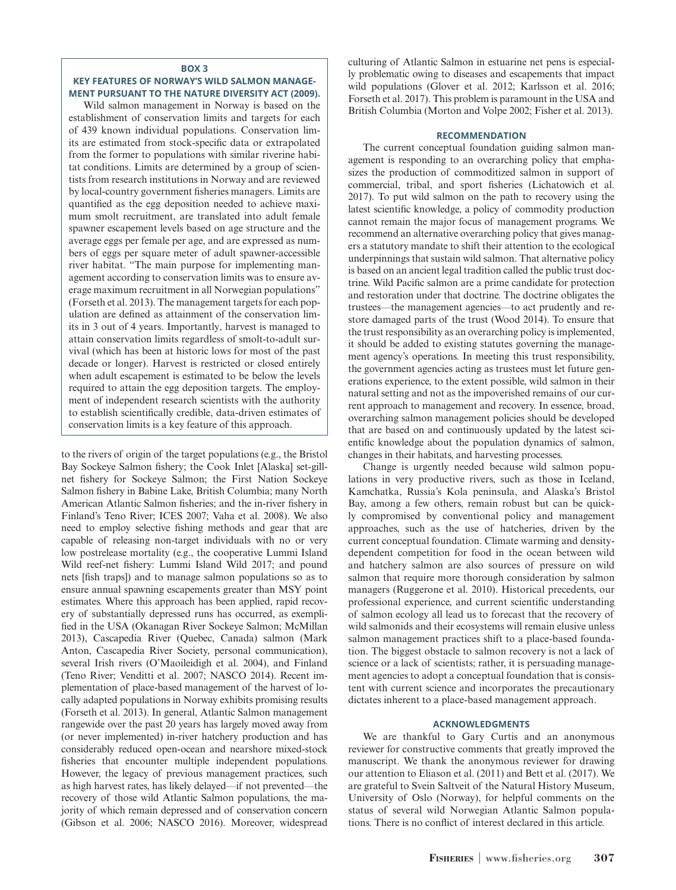#### **BOX 3**

## **KEY FEATURES OF NORWAY'S WILD SALMON MANAGE-MENT PURSUANT TO THE NATURE DIVERSITY ACT (2009).**

Wild salmon management in Norway is based on the establishment of conservation limits and targets for each of 439 known individual populations. Conservation limits are estimated from stock-specific data or extrapolated from the former to populations with similar riverine habitat conditions. Limits are determined by a group of scientists from research institutions in Norway and are reviewed by local-country government fisheries managers. Limits are quantified as the egg deposition needed to achieve maximum smolt recruitment, are translated into adult female spawner escapement levels based on age structure and the average eggs per female per age, and are expressed as numbers of eggs per square meter of adult spawner-accessible river habitat. "The main purpose for implementing management according to conservation limits was to ensure average maximum recruitment in all Norwegian populations" (Forseth et al. 2013). The management targets for each population are defined as attainment of the conservation limits in 3 out of 4 years. Importantly, harvest is managed to attain conservation limits regardless of smolt-to-adult survival (which has been at historic lows for most of the past decade or longer). Harvest is restricted or closed entirely when adult escapement is estimated to be below the levels required to attain the egg deposition targets. The employment of independent research scientists with the authority to establish scientifically credible, data-driven estimates of conservation limits is a key feature of this approach.

to the rivers of origin of the target populations (e.g., the Bristol Bay Sockeye Salmon fishery; the Cook Inlet [Alaska] set-gillnet fishery for Sockeye Salmon; the First Nation Sockeye Salmon fishery in Babine Lake, British Columbia; many North American Atlantic Salmon fisheries; and the in-river fishery in Finland's Teno River; ICES 2007; Vaha et al. 2008). We also need to employ selective fishing methods and gear that are capable of releasing non-target individuals with no or very low postrelease mortality (e.g., the cooperative Lummi Island Wild reef-net fishery: Lummi Island Wild 2017; and pound nets [fish traps]) and to manage salmon populations so as to ensure annual spawning escapements greater than MSY point estimates. Where this approach has been applied, rapid recovery of substantially depressed runs has occurred, as exemplified in the USA (Okanagan River Sockeye Salmon; McMillan 2013), Cascapedia River (Quebec, Canada) salmon (Mark Anton, Cascapedia River Society, personal communication), several Irish rivers (O'Maoileidigh et al. 2004), and Finland (Teno River; Venditti et al. 2007; NASCO 2014). Recent implementation of place-based management of the harvest of locally adapted populations in Norway exhibits promising results (Forseth et al. 2013). In general, Atlantic Salmon management rangewide over the past 20 years has largely moved away from (or never implemented) in-river hatchery production and has considerably reduced open-ocean and nearshore mixed-stock fisheries that encounter multiple independent populations. However, the legacy of previous management practices, such as high harvest rates, has likely delayed—if not prevented—the recovery of those wild Atlantic Salmon populations, the majority of which remain depressed and of conservation concern (Gibson et al. 2006; NASCO 2016). Moreover, widespread

culturing of Atlantic Salmon in estuarine net pens is especially problematic owing to diseases and escapements that impact wild populations (Glover et al. 2012; Karlsson et al. 2016; Forseth et al. 2017). This problem is paramount in the USA and British Columbia (Morton and Volpe 2002; Fisher et al. 2013).

#### **RECOMMENDATION**

The current conceptual foundation guiding salmon management is responding to an overarching policy that emphasizes the production of commoditized salmon in support of commercial, tribal, and sport fisheries (Lichatowich et al. 2017). To put wild salmon on the path to recovery using the latest scientific knowledge, a policy of commodity production cannot remain the major focus of management programs. We recommend an alternative overarching policy that gives managers a statutory mandate to shift their attention to the ecological underpinnings that sustain wild salmon. That alternative policy is based on an ancient legal tradition called the public trust doctrine. Wild Pacific salmon are a prime candidate for protection and restoration under that doctrine. The doctrine obligates the trustees—the management agencies—to act prudently and restore damaged parts of the trust (Wood 2014). To ensure that the trust responsibility as an overarching policy is implemented, it should be added to existing statutes governing the management agency's operations. In meeting this trust responsibility, the government agencies acting as trustees must let future generations experience, to the extent possible, wild salmon in their natural setting and not as the impoverished remains of our current approach to management and recovery. In essence, broad, overarching salmon management policies should be developed that are based on and continuously updated by the latest scientific knowledge about the population dynamics of salmon, changes in their habitats, and harvesting processes.

Change is urgently needed because wild salmon populations in very productive rivers, such as those in Iceland, Kamchatka, Russia's Kola peninsula, and Alaska's Bristol Bay, among a few others, remain robust but can be quickly compromised by conventional policy and management approaches, such as the use of hatcheries, driven by the current conceptual foundation. Climate warming and densitydependent competition for food in the ocean between wild and hatchery salmon are also sources of pressure on wild salmon that require more thorough consideration by salmon managers (Ruggerone et al. 2010). Historical precedents, our professional experience, and current scientific understanding of salmon ecology all lead us to forecast that the recovery of wild salmonids and their ecosystems will remain elusive unless salmon management practices shift to a place-based foundation. The biggest obstacle to salmon recovery is not a lack of science or a lack of scientists; rather, it is persuading management agencies to adopt a conceptual foundation that is consistent with current science and incorporates the precautionary dictates inherent to a place-based management approach.

### **ACKNOWLEDGMENTS**

We are thankful to Gary Curtis and an anonymous reviewer for constructive comments that greatly improved the manuscript. We thank the anonymous reviewer for drawing our attention to Eliason et al. (2011) and Bett et al. (2017). We are grateful to Svein Saltveit of the Natural History Museum, University of Oslo (Norway), for helpful comments on the status of several wild Norwegian Atlantic Salmon populations. There is no conflict of interest declared in this article.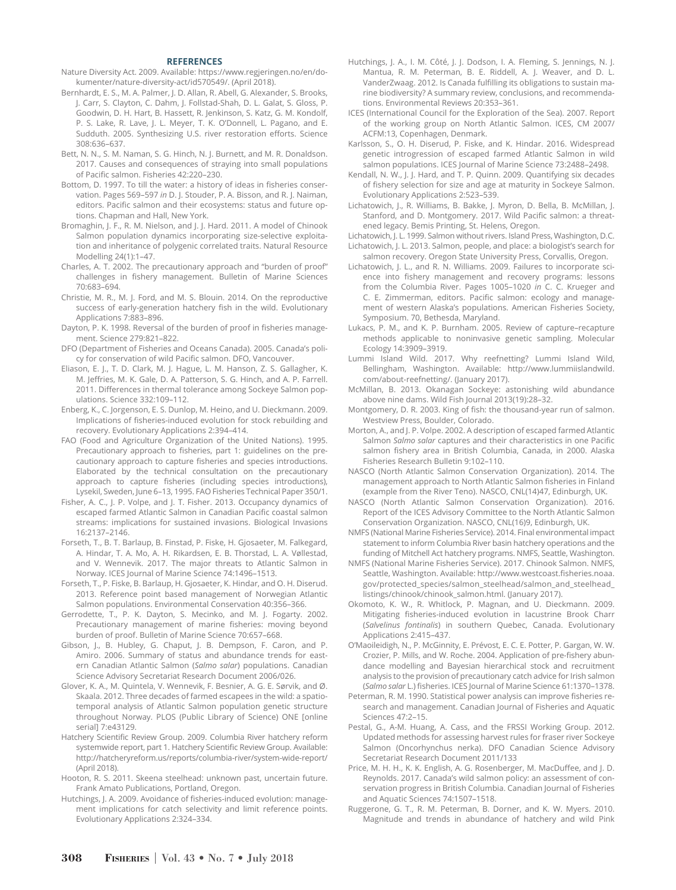#### **REFERENCES**

- Nature Diversity Act. 2009. Available: [https://www.regjeringen.no/en/do](https://www.regjeringen.no/en/dokumenter/nature-diversity-act/id570549/)[kumenter/nature-diversity-act/id570549/](https://www.regjeringen.no/en/dokumenter/nature-diversity-act/id570549/). (April 2018).
- Bernhardt, E. S., M. A. Palmer, J. D. Allan, R. Abell, G. Alexander, S. Brooks, J. Carr, S. Clayton, C. Dahm, J. Follstad-Shah, D. L. Galat, S. Gloss, P. Goodwin, D. H. Hart, B. Hassett, R. Jenkinson, S. Katz, G. M. Kondolf, P. S. Lake, R. Lave, J. L. Meyer, T. K. O'Donnell, L. Pagano, and E. Sudduth. 2005. Synthesizing U.S. river restoration efforts. Science 308:636–637.
- Bett, N. N., S. M. Naman, S. G. Hinch, N. J. Burnett, and M. R. Donaldson. 2017. Causes and consequences of straying into small populations of Pacific salmon. Fisheries 42:220–230.
- Bottom, D. 1997. To till the water: a history of ideas in fisheries conservation. Pages 569–597 *in* D. J. Stouder, P. A. Bisson, and R. J. Naiman, editors. Pacific salmon and their ecosystems: status and future options. Chapman and Hall, New York.
- Bromaghin, J. F., R. M. Nielson, and J. J. Hard. 2011. A model of Chinook Salmon population dynamics incorporating size-selective exploitation and inheritance of polygenic correlated traits. Natural Resource Modelling 24(1):1–47.
- Charles, A. T. 2002. The precautionary approach and "burden of proof" challenges in fishery management. Bulletin of Marine Sciences 70:683–694.
- Christie, M. R., M. J. Ford, and M. S. Blouin. 2014. On the reproductive success of early-generation hatchery fish in the wild. Evolutionary Applications 7:883–896.
- Dayton, P. K. 1998. Reversal of the burden of proof in fisheries management. Science 279:821–822.
- DFO (Department of Fisheries and Oceans Canada). 2005. Canada's policy for conservation of wild Pacific salmon. DFO, Vancouver.
- Eliason, E. J., T. D. Clark, M. J. Hague, L. M. Hanson, Z. S. Gallagher, K. M. Jeffries, M. K. Gale, D. A. Patterson, S. G. Hinch, and A. P. Farrell. 2011. Differences in thermal tolerance among Sockeye Salmon populations. Science 332:109–112.
- Enberg, K., C. Jorgenson, E. S. Dunlop, M. Heino, and U. Dieckmann. 2009. Implications of fisheries-induced evolution for stock rebuilding and recovery. Evolutionary Applications 2:394–414.
- FAO (Food and Agriculture Organization of the United Nations). 1995. Precautionary approach to fisheries, part 1: guidelines on the precautionary approach to capture fisheries and species introductions. Elaborated by the technical consultation on the precautionary approach to capture fisheries (including species introductions), Lysekil, Sweden, June 6–13, 1995. FAO Fisheries Technical Paper 350/1.
- Fisher, A. C., J. P. Volpe, and J. T. Fisher. 2013. Occupancy dynamics of escaped farmed Atlantic Salmon in Canadian Pacific coastal salmon streams: implications for sustained invasions. Biological Invasions 16:2137–2146.
- Forseth, T., B. T. Barlaup, B. Finstad, P. Fiske, H. Gjosaeter, M. Falkegard, A. Hindar, T. A. Mo, A. H. Rikardsen, E. B. Thorstad, L. A. Vøllestad, and V. Wennevik. 2017. The major threats to Atlantic Salmon in Norway. ICES Journal of Marine Science 74:1496–1513.
- Forseth, T., P. Fiske, B. Barlaup, H. Gjosaeter, K. Hindar, and O. H. Diserud. 2013. Reference point based management of Norwegian Atlantic Salmon populations. Environmental Conservation 40:356–366.
- Gerrodette, T., P. K. Dayton, S. Mecinko, and M. J. Fogarty. 2002. Precautionary management of marine fisheries: moving beyond burden of proof. Bulletin of Marine Science 70:657–668.
- Gibson, J., B. Hubley, G. Chaput, J. B. Dempson, F. Caron, and P. Amiro. 2006. Summary of status and abundance trends for eastern Canadian Atlantic Salmon (*Salmo salar*) populations. Canadian Science Advisory Secretariat Research Document 2006/026.
- Glover, K. A., M. Quintela, V. Wennevik, F. Besnier, A. G. E. Sørvik, and Ø. Skaala. 2012. Three decades of farmed escapees in the wild: a spatiotemporal analysis of Atlantic Salmon population genetic structure throughout Norway. PLOS (Public Library of Science) ONE [online serial] 7:e43129.
- Hatchery Scientific Review Group. 2009. Columbia River hatchery reform systemwide report, part 1. Hatchery Scientific Review Group. Available: <http://hatcheryreform.us/reports/columbia-river/system-wide-report/> (April 2018).
- Hooton, R. S. 2011. Skeena steelhead: unknown past, uncertain future. Frank Amato Publications, Portland, Oregon.
- Hutchings, J. A. 2009. Avoidance of fisheries-induced evolution: management implications for catch selectivity and limit reference points. Evolutionary Applications 2:324–334.
- Hutchings, J. A., I. M. Côté, J. J. Dodson, I. A. Fleming, S. Jennings, N. J. Mantua, R. M. Peterman, B. E. Riddell, A. J. Weaver, and D. L. VanderZwaag. 2012. Is Canada fulfilling its obligations to sustain marine biodiversity? A summary review, conclusions, and recommendations. Environmental Reviews 20:353–361.
- ICES (International Council for the Exploration of the Sea). 2007. Report of the working group on North Atlantic Salmon. ICES, CM 2007/ ACFM:13, Copenhagen, Denmark.
- Karlsson, S., O. H. Diserud, P. Fiske, and K. Hindar. 2016. Widespread genetic introgression of escaped farmed Atlantic Salmon in wild salmon populations. ICES Journal of Marine Science 73:2488–2498.
- Kendall, N. W., J. J. Hard, and T. P. Quinn. 2009. Quantifying six decades of fishery selection for size and age at maturity in Sockeye Salmon. Evolutionary Applications 2:523–539.
- Lichatowich, J., R. Williams, B. Bakke, J. Myron, D. Bella, B. McMillan, J. Stanford, and D. Montgomery. 2017. Wild Pacific salmon: a threatened legacy. Bemis Printing, St. Helens, Oregon.
- Lichatowich, J. L. 1999. Salmon without rivers. Island Press, Washington, D.C.
- Lichatowich, J. L. 2013. Salmon, people, and place: a biologist's search for salmon recovery. Oregon State University Press, Corvallis, Oregon.
- Lichatowich, J. L., and R. N. Williams. 2009. Failures to incorporate science into fishery management and recovery programs: lessons from the Columbia River. Pages 1005–1020 *in* C. C. Krueger and C. E. Zimmerman, editors. Pacific salmon: ecology and management of western Alaska's populations. American Fisheries Society, Symposium. 70, Bethesda, Maryland.
- Lukacs, P. M., and K. P. Burnham. 2005. Review of capture–recapture methods applicable to noninvasive genetic sampling. Molecular Ecology 14:3909–3919.
- Lummi Island Wild. 2017. Why reefnetting? Lummi Island Wild, Bellingham, Washington. Available: [http://www.lummiislandwild.](http://www.lummiislandwild.com/about-reefnetting/) [com/about-reefnetting/.](http://www.lummiislandwild.com/about-reefnetting/) (January 2017).
- McMillan, B. 2013. Okanagan Sockeye: astonishing wild abundance above nine dams. Wild Fish Journal 2013(19):28–32.
- Montgomery, D. R. 2003. King of fish: the thousand-year run of salmon. Westview Press, Boulder, Colorado.
- Morton, A., and J. P. Volpe. 2002. A description of escaped farmed Atlantic Salmon *Salmo salar* captures and their characteristics in one Pacific salmon fishery area in British Columbia, Canada, in 2000. Alaska Fisheries Research Bulletin 9:102–110.
- NASCO (North Atlantic Salmon Conservation Organization). 2014. The management approach to North Atlantic Salmon fisheries in Finland (example from the River Teno). NASCO, CNL(14)47, Edinburgh, UK.
- NASCO (North Atlantic Salmon Conservation Organization). 2016. Report of the ICES Advisory Committee to the North Atlantic Salmon Conservation Organization. NASCO, CNL(16)9, Edinburgh, UK.
- NMFS (National Marine Fisheries Service). 2014. Final environmental impact statement to inform Columbia River basin hatchery operations and the funding of Mitchell Act hatchery programs. NMFS, Seattle, Washington.
- NMFS (National Marine Fisheries Service). 2017. Chinook Salmon. NMFS, Seattle, Washington. Available: [http://www.westcoast.fisheries.noaa.](http://www.westcoast.fisheries.noaa.gov/protected_species/salmon_steelhead/salmon_and_steelhead_listings/chinook/chinook_salmon.html) [gov/protected\\_species/salmon\\_steelhead/salmon\\_and\\_steelhead\\_](http://www.westcoast.fisheries.noaa.gov/protected_species/salmon_steelhead/salmon_and_steelhead_listings/chinook/chinook_salmon.html) [listings/chinook/chinook\\_salmon.html](http://www.westcoast.fisheries.noaa.gov/protected_species/salmon_steelhead/salmon_and_steelhead_listings/chinook/chinook_salmon.html). (January 2017).
- Okomoto, K. W., R. Whitlock, P. Magnan, and U. Dieckmann. 2009. Mitigating fisheries-induced evolution in lacustrine Brook Charr (*Salvelinus fontinalis*) in southern Quebec, Canada. Evolutionary Applications 2:415–437.
- O'Maoileidigh, N., P. McGinnity, E. Prévost, E. C. E. Potter, P. Gargan, W. W. Crozier, P. Mills, and W. Roche. 2004. Application of pre-fishery abundance modelling and Bayesian hierarchical stock and recruitment analysis to the provision of precautionary catch advice for Irish salmon (*Salmo salar* L.) fisheries. ICES Journal of Marine Science 61:1370–1378.
- Peterman, R. M. 1990. Statistical power analysis can improve fisheries research and management. Canadian Journal of Fisheries and Aquatic Sciences 47:2–15.
- Pestal, G., A-M. Huang, A. Cass, and the FRSSI Working Group. 2012. Updated methods for assessing harvest rules for fraser river Sockeye Salmon (Oncorhynchus nerka). DFO Canadian Science Advisory Secretariat Research Document 2011/133
- Price, M. H. H., K. K. English, A. G. Rosenberger, M. MacDuffee, and J. D. Reynolds. 2017. Canada's wild salmon policy: an assessment of conservation progress in British Columbia. Canadian Journal of Fisheries and Aquatic Sciences 74:1507–1518.
- Ruggerone, G. T., R. M. Peterman, B. Dorner, and K. W. Myers. 2010. Magnitude and trends in abundance of hatchery and wild Pink